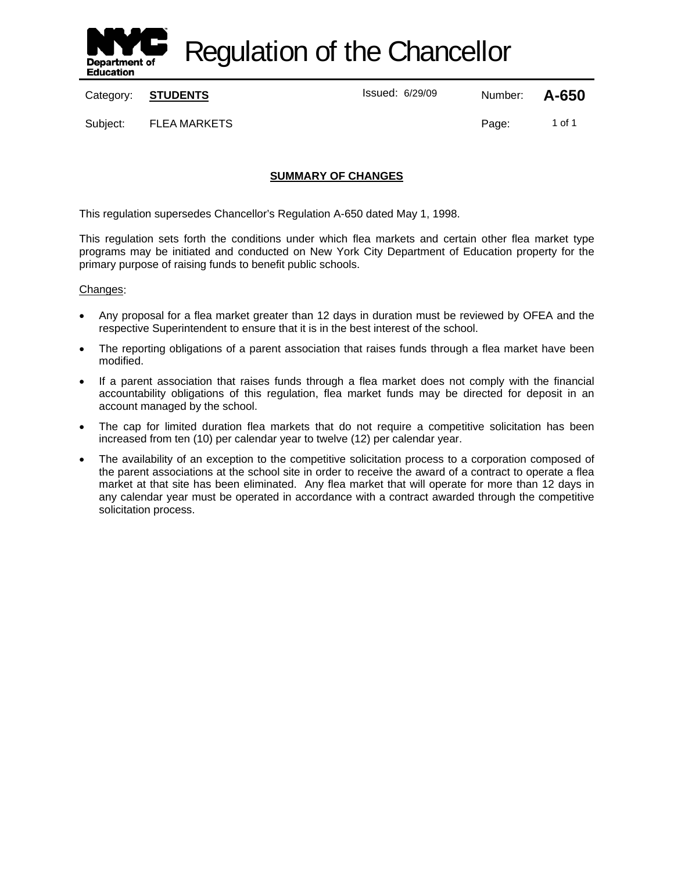

Regulation of the Chancellor

Category: **STUDENTS ISSUE 2018** Issued: 6/29/09 Number: **A-650** 

Subject: FLEA MARKETS **Page:** 1 of 1

# **SUMMARY OF CHANGES**

This regulation supersedes Chancellor's Regulation A-650 dated May 1, 1998.

This regulation sets forth the conditions under which flea markets and certain other flea market type programs may be initiated and conducted on New York City Department of Education property for the primary purpose of raising funds to benefit public schools.

#### Changes:

- Any proposal for a flea market greater than 12 days in duration must be reviewed by OFEA and the respective Superintendent to ensure that it is in the best interest of the school.
- The reporting obligations of a parent association that raises funds through a flea market have been modified.
- If a parent association that raises funds through a flea market does not comply with the financial accountability obligations of this regulation, flea market funds may be directed for deposit in an account managed by the school.
- The cap for limited duration flea markets that do not require a competitive solicitation has been increased from ten (10) per calendar year to twelve (12) per calendar year.
- The availability of an exception to the competitive solicitation process to a corporation composed of the parent associations at the school site in order to receive the award of a contract to operate a flea market at that site has been eliminated. Any flea market that will operate for more than 12 days in any calendar year must be operated in accordance with a contract awarded through the competitive solicitation process.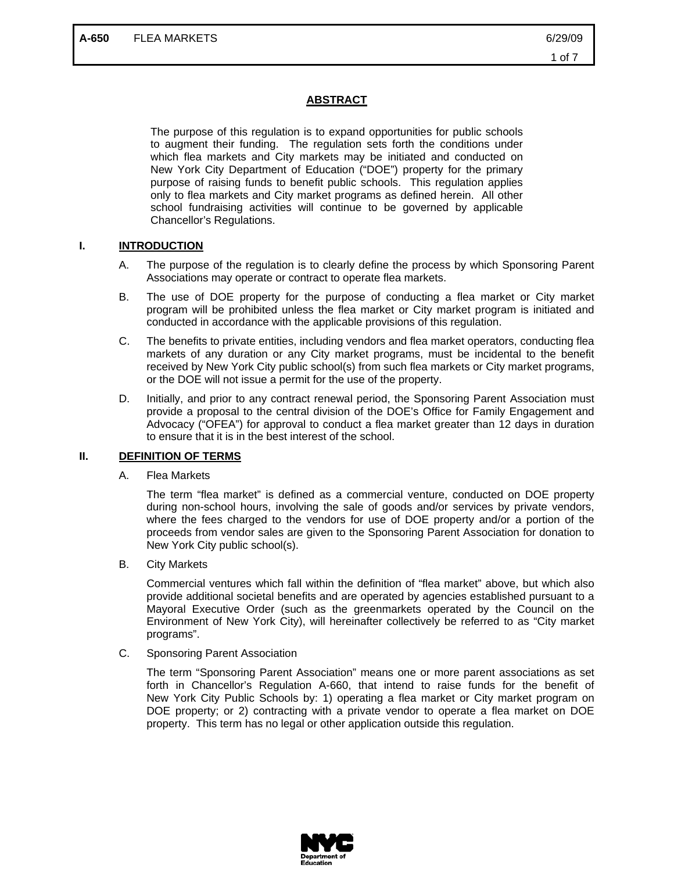### **ABSTRACT**

The purpose of this regulation is to expand opportunities for public schools to augment their funding. The regulation sets forth the conditions under which flea markets and City markets may be initiated and conducted on New York City Department of Education ("DOE") property for the primary purpose of raising funds to benefit public schools. This regulation applies only to flea markets and City market programs as defined herein. All other school fundraising activities will continue to be governed by applicable Chancellor's Regulations.

#### **I. INTRODUCTION**

- A. The purpose of the regulation is to clearly define the process by which Sponsoring Parent Associations may operate or contract to operate flea markets.
- B. The use of DOE property for the purpose of conducting a flea market or City market program will be prohibited unless the flea market or City market program is initiated and conducted in accordance with the applicable provisions of this regulation.
- C. The benefits to private entities, including vendors and flea market operators, conducting flea markets of any duration or any City market programs, must be incidental to the benefit received by New York City public school(s) from such flea markets or City market programs, or the DOE will not issue a permit for the use of the property.
- D. Initially, and prior to any contract renewal period, the Sponsoring Parent Association must provide a proposal to the central division of the DOE's Office for Family Engagement and Advocacy ("OFEA") for approval to conduct a flea market greater than 12 days in duration to ensure that it is in the best interest of the school.

#### **II. DEFINITION OF TERMS**

A. Flea Markets

The term "flea market" is defined as a commercial venture, conducted on DOE property during non-school hours, involving the sale of goods and/or services by private vendors, where the fees charged to the vendors for use of DOE property and/or a portion of the proceeds from vendor sales are given to the Sponsoring Parent Association for donation to New York City public school(s).

B. City Markets

Commercial ventures which fall within the definition of "flea market" above, but which also provide additional societal benefits and are operated by agencies established pursuant to a Mayoral Executive Order (such as the greenmarkets operated by the Council on the Environment of New York City), will hereinafter collectively be referred to as "City market programs".

C. Sponsoring Parent Association

The term "Sponsoring Parent Association" means one or more parent associations as set forth in Chancellor's Regulation A-660, that intend to raise funds for the benefit of New York City Public Schools by: 1) operating a flea market or City market program on DOE property; or 2) contracting with a private vendor to operate a flea market on DOE property. This term has no legal or other application outside this regulation.

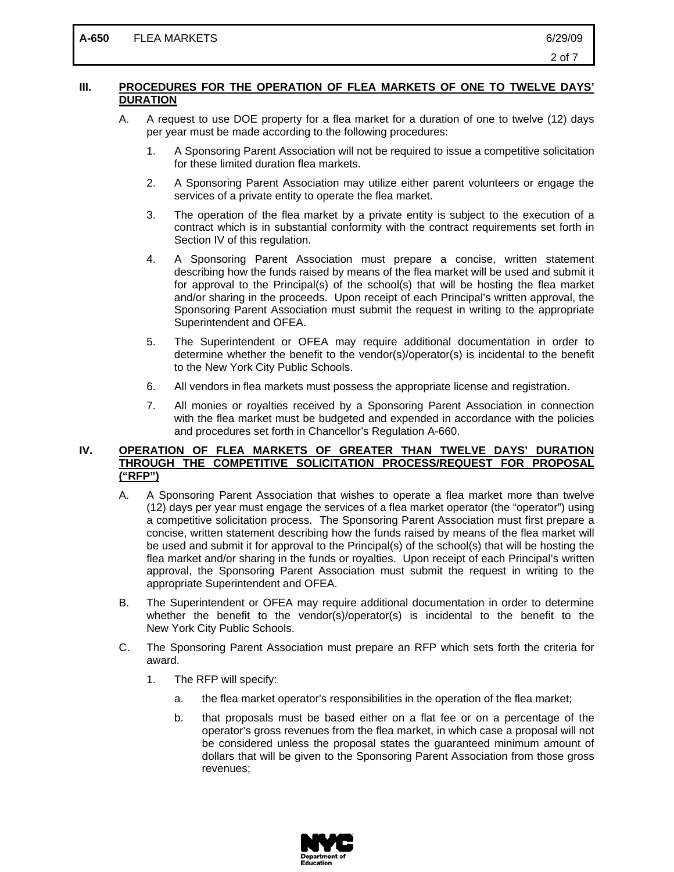## **III. PROCEDURES FOR THE OPERATION OF FLEA MARKETS OF ONE TO TWELVE DAYS' DURATION**

- A. A request to use DOE property for a flea market for a duration of one to twelve (12) days per year must be made according to the following procedures:
	- 1. A Sponsoring Parent Association will not be required to issue a competitive solicitation for these limited duration flea markets.
	- 2. A Sponsoring Parent Association may utilize either parent volunteers or engage the services of a private entity to operate the flea market.
	- 3. The operation of the flea market by a private entity is subject to the execution of a contract which is in substantial conformity with the contract requirements set forth in Section IV of this regulation.
	- 4. A Sponsoring Parent Association must prepare a concise, written statement describing how the funds raised by means of the flea market will be used and submit it for approval to the Principal(s) of the school(s) that will be hosting the flea market and/or sharing in the proceeds. Upon receipt of each Principal's written approval, the Sponsoring Parent Association must submit the request in writing to the appropriate Superintendent and OFEA.
	- 5. The Superintendent or OFEA may require additional documentation in order to determine whether the benefit to the vendor(s)/operator(s) is incidental to the benefit to the New York City Public Schools.
	- 6. All vendors in flea markets must possess the appropriate license and registration.
	- 7. All monies or royalties received by a Sponsoring Parent Association in connection with the flea market must be budgeted and expended in accordance with the policies and procedures set forth in Chancellor's Regulation A-660.

## **IV. OPERATION OF FLEA MARKETS OF GREATER THAN TWELVE DAYS' DURATION THROUGH THE COMPETITIVE SOLICITATION PROCESS/REQUEST FOR PROPOSAL ("RFP")**

- A. A Sponsoring Parent Association that wishes to operate a flea market more than twelve (12) days per year must engage the services of a flea market operator (the "operator") using a competitive solicitation process. The Sponsoring Parent Association must first prepare a concise, written statement describing how the funds raised by means of the flea market will be used and submit it for approval to the Principal(s) of the school(s) that will be hosting the flea market and/or sharing in the funds or royalties. Upon receipt of each Principal's written approval, the Sponsoring Parent Association must submit the request in writing to the appropriate Superintendent and OFEA.
- B. The Superintendent or OFEA may require additional documentation in order to determine whether the benefit to the vendor(s)/operator(s) is incidental to the benefit to the New York City Public Schools.
- C. The Sponsoring Parent Association must prepare an RFP which sets forth the criteria for award.
	- 1. The RFP will specify:
		- a. the flea market operator's responsibilities in the operation of the flea market;
		- b. that proposals must be based either on a flat fee or on a percentage of the operator's gross revenues from the flea market, in which case a proposal will not be considered unless the proposal states the guaranteed minimum amount of dollars that will be given to the Sponsoring Parent Association from those gross revenues;

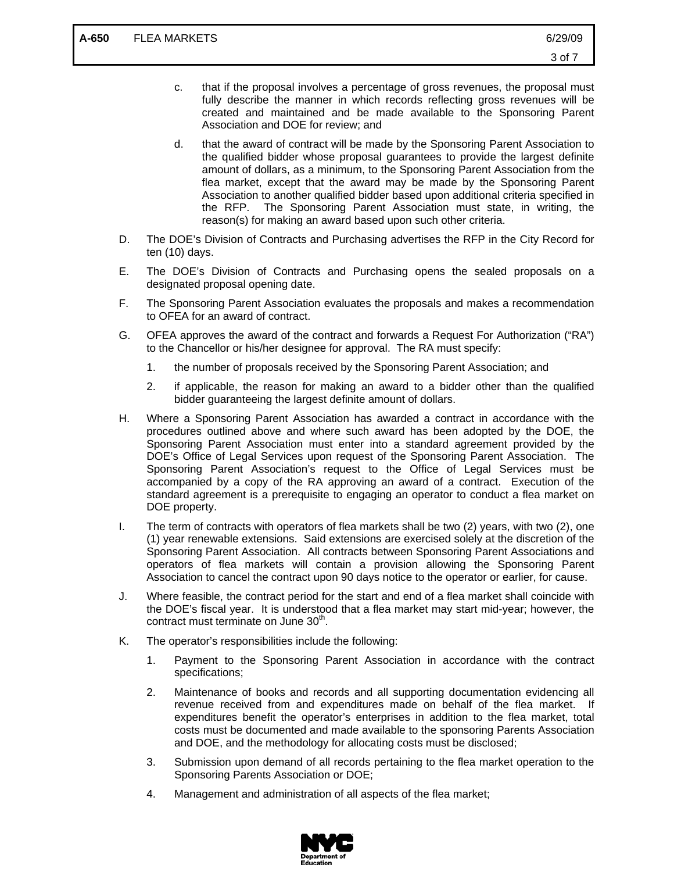- d. that the award of contract will be made by the Sponsoring Parent Association to the qualified bidder whose proposal guarantees to provide the largest definite amount of dollars, as a minimum, to the Sponsoring Parent Association from the flea market, except that the award may be made by the Sponsoring Parent Association to another qualified bidder based upon additional criteria specified in the RFP. The Sponsoring Parent Association must state, in writing, the reason(s) for making an award based upon such other criteria.
- D. The DOE's Division of Contracts and Purchasing advertises the RFP in the City Record for ten (10) days.
- E. The DOE's Division of Contracts and Purchasing opens the sealed proposals on a designated proposal opening date.
- F. The Sponsoring Parent Association evaluates the proposals and makes a recommendation to OFEA for an award of contract.
- G. OFEA approves the award of the contract and forwards a Request For Authorization ("RA") to the Chancellor or his/her designee for approval. The RA must specify:
	- 1. the number of proposals received by the Sponsoring Parent Association; and
	- 2. if applicable, the reason for making an award to a bidder other than the qualified bidder guaranteeing the largest definite amount of dollars.
- H. Where a Sponsoring Parent Association has awarded a contract in accordance with the procedures outlined above and where such award has been adopted by the DOE, the Sponsoring Parent Association must enter into a standard agreement provided by the DOE's Office of Legal Services upon request of the Sponsoring Parent Association. The Sponsoring Parent Association's request to the Office of Legal Services must be accompanied by a copy of the RA approving an award of a contract. Execution of the standard agreement is a prerequisite to engaging an operator to conduct a flea market on DOE property.
- I. The term of contracts with operators of flea markets shall be two (2) years, with two (2), one (1) year renewable extensions. Said extensions are exercised solely at the discretion of the Sponsoring Parent Association. All contracts between Sponsoring Parent Associations and operators of flea markets will contain a provision allowing the Sponsoring Parent Association to cancel the contract upon 90 days notice to the operator or earlier, for cause.
- J. Where feasible, the contract period for the start and end of a flea market shall coincide with the DOE's fiscal year. It is understood that a flea market may start mid-year; however, the contract must terminate on June 30<sup>th</sup>.
- K. The operator's responsibilities include the following:
	- 1. Payment to the Sponsoring Parent Association in accordance with the contract specifications;
	- 2. Maintenance of books and records and all supporting documentation evidencing all revenue received from and expenditures made on behalf of the flea market. If expenditures benefit the operator's enterprises in addition to the flea market, total costs must be documented and made available to the sponsoring Parents Association and DOE, and the methodology for allocating costs must be disclosed;
	- 3. Submission upon demand of all records pertaining to the flea market operation to the Sponsoring Parents Association or DOE;
	- 4. Management and administration of all aspects of the flea market;

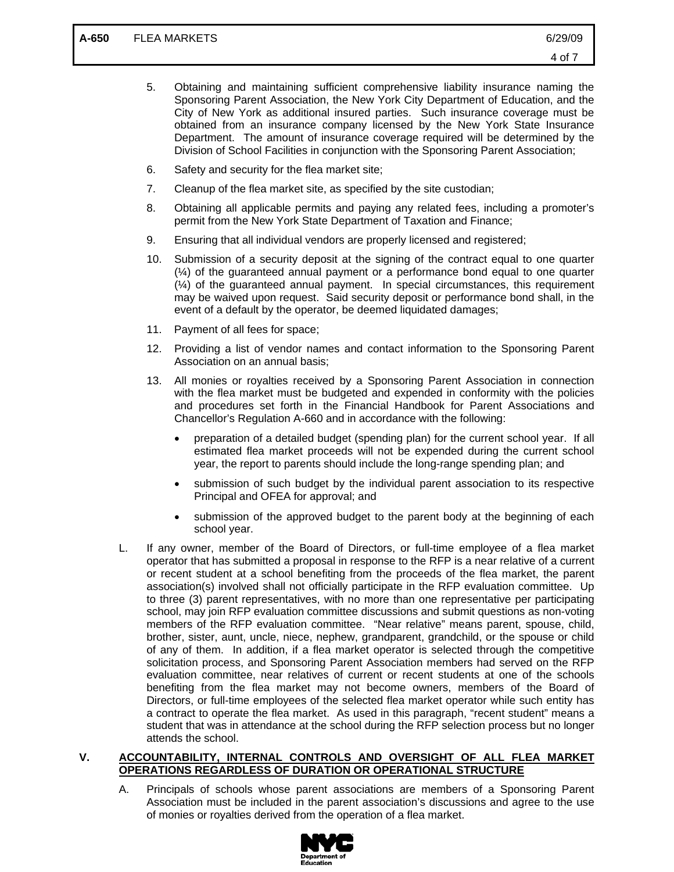- 5. Obtaining and maintaining sufficient comprehensive liability insurance naming the Sponsoring Parent Association, the New York City Department of Education, and the City of New York as additional insured parties. Such insurance coverage must be obtained from an insurance company licensed by the New York State Insurance Department. The amount of insurance coverage required will be determined by the Division of School Facilities in conjunction with the Sponsoring Parent Association;
- 6. Safety and security for the flea market site;
- 7. Cleanup of the flea market site, as specified by the site custodian;
- 8. Obtaining all applicable permits and paying any related fees, including a promoter's permit from the New York State Department of Taxation and Finance;
- 9. Ensuring that all individual vendors are properly licensed and registered;
- 10. Submission of a security deposit at the signing of the contract equal to one quarter (¼) of the guaranteed annual payment or a performance bond equal to one quarter (¼) of the guaranteed annual payment. In special circumstances, this requirement may be waived upon request. Said security deposit or performance bond shall, in the event of a default by the operator, be deemed liquidated damages;
- 11. Payment of all fees for space;
- 12. Providing a list of vendor names and contact information to the Sponsoring Parent Association on an annual basis;
- 13. All monies or royalties received by a Sponsoring Parent Association in connection with the flea market must be budgeted and expended in conformity with the policies and procedures set forth in the Financial Handbook for Parent Associations and Chancellor's Regulation A-660 and in accordance with the following:
	- preparation of a detailed budget (spending plan) for the current school year. If all estimated flea market proceeds will not be expended during the current school year, the report to parents should include the long-range spending plan; and
	- submission of such budget by the individual parent association to its respective Principal and OFEA for approval; and
	- submission of the approved budget to the parent body at the beginning of each school year.
- L. If any owner, member of the Board of Directors, or full-time employee of a flea market operator that has submitted a proposal in response to the RFP is a near relative of a current or recent student at a school benefiting from the proceeds of the flea market, the parent association(s) involved shall not officially participate in the RFP evaluation committee. Up to three (3) parent representatives, with no more than one representative per participating school, may join RFP evaluation committee discussions and submit questions as non-voting members of the RFP evaluation committee. "Near relative" means parent, spouse, child, brother, sister, aunt, uncle, niece, nephew, grandparent, grandchild, or the spouse or child of any of them. In addition, if a flea market operator is selected through the competitive solicitation process, and Sponsoring Parent Association members had served on the RFP evaluation committee, near relatives of current or recent students at one of the schools benefiting from the flea market may not become owners, members of the Board of Directors, or full-time employees of the selected flea market operator while such entity has a contract to operate the flea market. As used in this paragraph, "recent student" means a student that was in attendance at the school during the RFP selection process but no longer attends the school.

### **V. ACCOUNTABILITY, INTERNAL CONTROLS AND OVERSIGHT OF ALL FLEA MARKET OPERATIONS REGARDLESS OF DURATION OR OPERATIONAL STRUCTURE**

A. Principals of schools whose parent associations are members of a Sponsoring Parent Association must be included in the parent association's discussions and agree to the use of monies or royalties derived from the operation of a flea market.

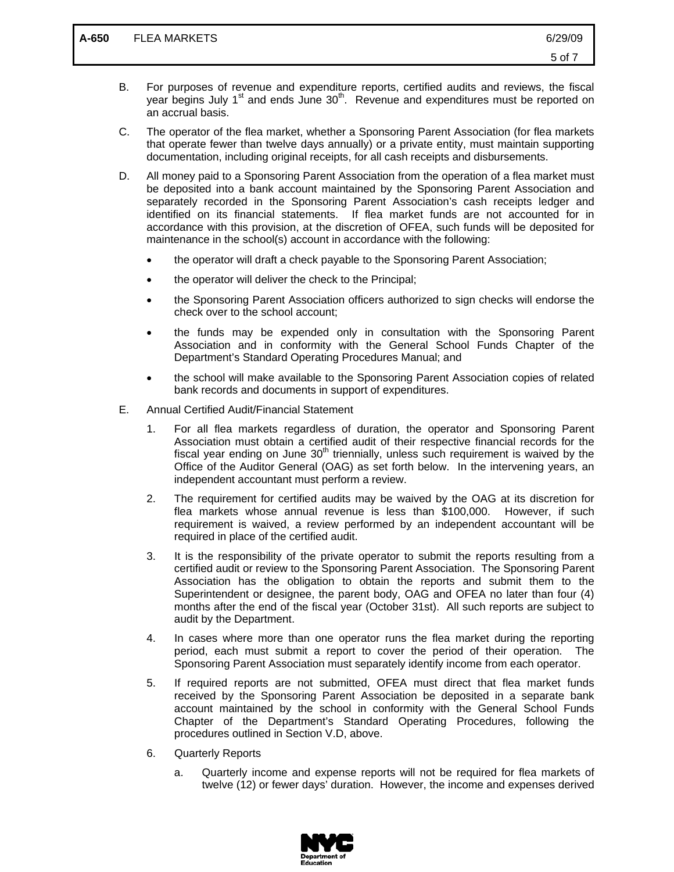- B. For purposes of revenue and expenditure reports, certified audits and reviews, the fiscal year begins July  $1<sup>st</sup>$  and ends June  $30<sup>th</sup>$ . Revenue and expenditures must be reported on an accrual basis.
- C. The operator of the flea market, whether a Sponsoring Parent Association (for flea markets that operate fewer than twelve days annually) or a private entity, must maintain supporting documentation, including original receipts, for all cash receipts and disbursements.
- D. All money paid to a Sponsoring Parent Association from the operation of a flea market must be deposited into a bank account maintained by the Sponsoring Parent Association and separately recorded in the Sponsoring Parent Association's cash receipts ledger and identified on its financial statements. If flea market funds are not accounted for in accordance with this provision, at the discretion of OFEA, such funds will be deposited for maintenance in the school(s) account in accordance with the following:
	- the operator will draft a check payable to the Sponsoring Parent Association;
	- the operator will deliver the check to the Principal;
	- the Sponsoring Parent Association officers authorized to sign checks will endorse the check over to the school account;
	- the funds may be expended only in consultation with the Sponsoring Parent Association and in conformity with the General School Funds Chapter of the Department's Standard Operating Procedures Manual; and
	- the school will make available to the Sponsoring Parent Association copies of related bank records and documents in support of expenditures.
- E. Annual Certified Audit/Financial Statement
	- 1. For all flea markets regardless of duration, the operator and Sponsoring Parent Association must obtain a certified audit of their respective financial records for the fiscal year ending on June  $30<sup>th</sup>$  triennially, unless such requirement is waived by the Office of the Auditor General (OAG) as set forth below. In the intervening years, an independent accountant must perform a review.
	- 2. The requirement for certified audits may be waived by the OAG at its discretion for flea markets whose annual revenue is less than \$100,000. However, if such requirement is waived, a review performed by an independent accountant will be required in place of the certified audit.
	- 3. It is the responsibility of the private operator to submit the reports resulting from a certified audit or review to the Sponsoring Parent Association. The Sponsoring Parent Association has the obligation to obtain the reports and submit them to the Superintendent or designee, the parent body, OAG and OFEA no later than four (4) months after the end of the fiscal year (October 31st). All such reports are subject to audit by the Department.
	- 4. In cases where more than one operator runs the flea market during the reporting period, each must submit a report to cover the period of their operation. The Sponsoring Parent Association must separately identify income from each operator.
	- 5. If required reports are not submitted, OFEA must direct that flea market funds received by the Sponsoring Parent Association be deposited in a separate bank account maintained by the school in conformity with the General School Funds Chapter of the Department's Standard Operating Procedures, following the procedures outlined in Section V.D, above.
	- 6. Quarterly Reports
		- a. Quarterly income and expense reports will not be required for flea markets of twelve (12) or fewer days' duration. However, the income and expenses derived

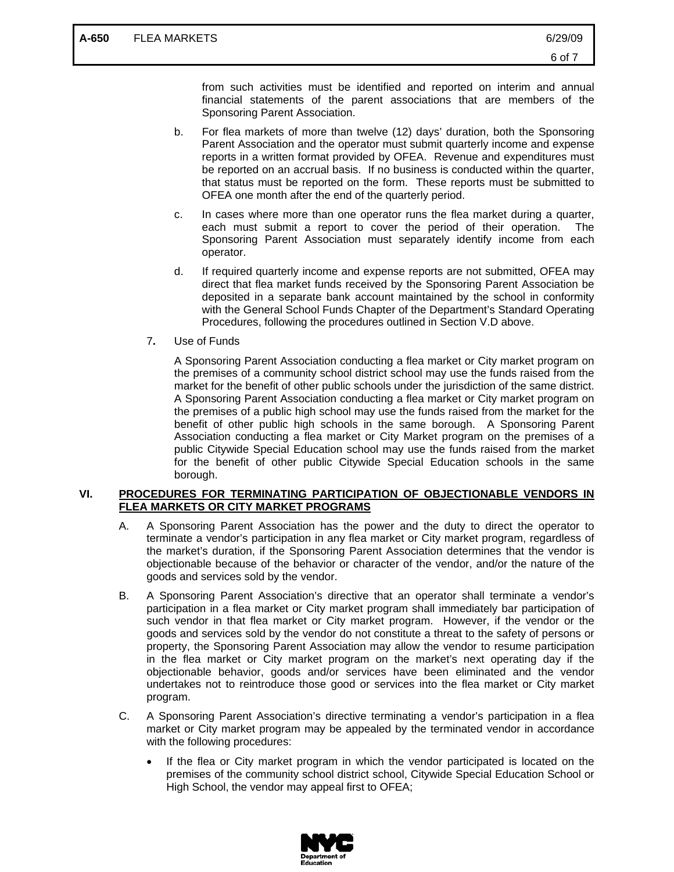from such activities must be identified and reported on interim and annual financial statements of the parent associations that are members of the Sponsoring Parent Association.

- b. For flea markets of more than twelve (12) days' duration, both the Sponsoring Parent Association and the operator must submit quarterly income and expense reports in a written format provided by OFEA. Revenue and expenditures must be reported on an accrual basis. If no business is conducted within the quarter, that status must be reported on the form. These reports must be submitted to OFEA one month after the end of the quarterly period.
- c. In cases where more than one operator runs the flea market during a quarter, each must submit a report to cover the period of their operation. The Sponsoring Parent Association must separately identify income from each operator.
- d. If required quarterly income and expense reports are not submitted, OFEA may direct that flea market funds received by the Sponsoring Parent Association be deposited in a separate bank account maintained by the school in conformity with the General School Funds Chapter of the Department's Standard Operating Procedures, following the procedures outlined in Section V.D above.
- 7**.** Use of Funds

A Sponsoring Parent Association conducting a flea market or City market program on the premises of a community school district school may use the funds raised from the market for the benefit of other public schools under the jurisdiction of the same district. A Sponsoring Parent Association conducting a flea market or City market program on the premises of a public high school may use the funds raised from the market for the benefit of other public high schools in the same borough. A Sponsoring Parent Association conducting a flea market or City Market program on the premises of a public Citywide Special Education school may use the funds raised from the market for the benefit of other public Citywide Special Education schools in the same borough.

### **VI. PROCEDURES FOR TERMINATING PARTICIPATION OF OBJECTIONABLE VENDORS IN FLEA MARKETS OR CITY MARKET PROGRAMS**

- A. A Sponsoring Parent Association has the power and the duty to direct the operator to terminate a vendor's participation in any flea market or City market program, regardless of the market's duration, if the Sponsoring Parent Association determines that the vendor is objectionable because of the behavior or character of the vendor, and/or the nature of the goods and services sold by the vendor.
- B. A Sponsoring Parent Association's directive that an operator shall terminate a vendor's participation in a flea market or City market program shall immediately bar participation of such vendor in that flea market or City market program. However, if the vendor or the goods and services sold by the vendor do not constitute a threat to the safety of persons or property, the Sponsoring Parent Association may allow the vendor to resume participation in the flea market or City market program on the market's next operating day if the objectionable behavior, goods and/or services have been eliminated and the vendor undertakes not to reintroduce those good or services into the flea market or City market program.
- C. A Sponsoring Parent Association's directive terminating a vendor's participation in a flea market or City market program may be appealed by the terminated vendor in accordance with the following procedures:
	- If the flea or City market program in which the vendor participated is located on the premises of the community school district school, Citywide Special Education School or High School, the vendor may appeal first to OFEA;